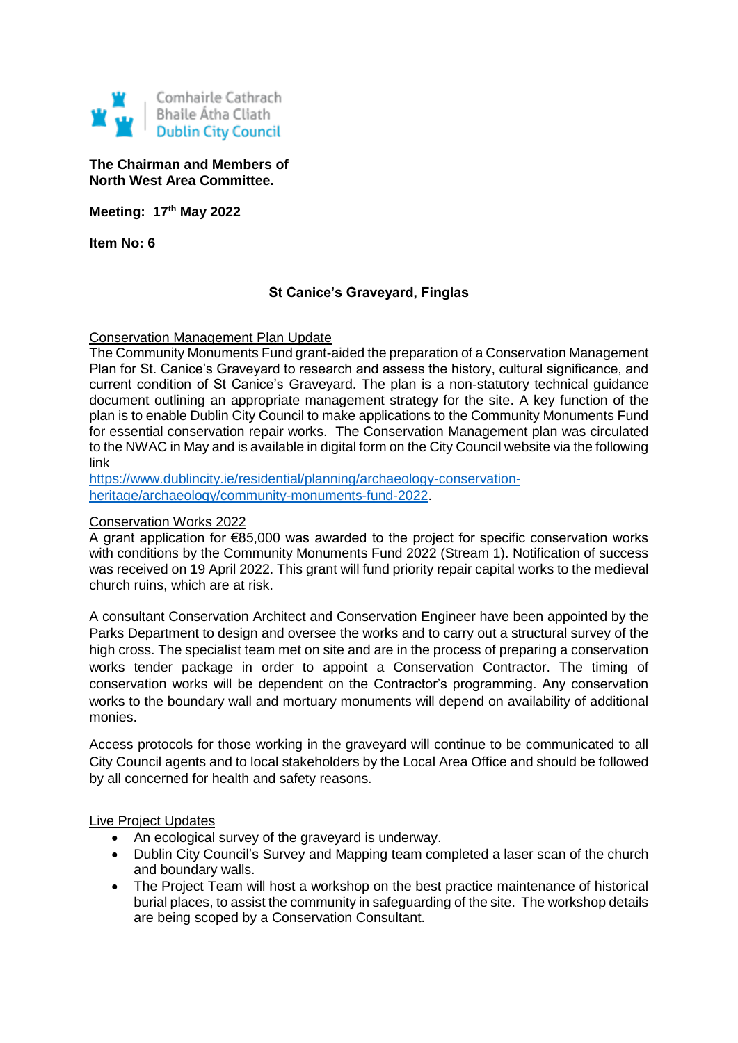

## **The Chairman and Members of North West Area Committee.**

**Meeting: 17th May 2022**

**Item No: 6**

# **St Canice's Graveyard, Finglas**

# Conservation Management Plan Update

The Community Monuments Fund grant-aided the preparation of a Conservation Management Plan for St. Canice's Graveyard to research and assess the history, cultural significance, and current condition of St Canice's Graveyard. The plan is a non-statutory technical guidance document outlining an appropriate management strategy for the site. A key function of the plan is to enable Dublin City Council to make applications to the Community Monuments Fund for essential conservation repair works. The Conservation Management plan was circulated to the NWAC in May and is available in digital form on the City Council website via the following link

[https://www.dublincity.ie/residential/planning/archaeology-conservation](https://www.dublincity.ie/residential/planning/archaeology-conservation-heritage/archaeology/community-monuments-fund-2022)[heritage/archaeology/community-monuments-fund-2022.](https://www.dublincity.ie/residential/planning/archaeology-conservation-heritage/archaeology/community-monuments-fund-2022)

#### Conservation Works 2022

A grant application for €85,000 was awarded to the project for specific conservation works with conditions by the Community Monuments Fund 2022 (Stream 1). Notification of success was received on 19 April 2022. This grant will fund priority repair capital works to the medieval church ruins, which are at risk.

A consultant Conservation Architect and Conservation Engineer have been appointed by the Parks Department to design and oversee the works and to carry out a structural survey of the high cross. The specialist team met on site and are in the process of preparing a conservation works tender package in order to appoint a Conservation Contractor. The timing of conservation works will be dependent on the Contractor's programming. Any conservation works to the boundary wall and mortuary monuments will depend on availability of additional monies.

Access protocols for those working in the graveyard will continue to be communicated to all City Council agents and to local stakeholders by the Local Area Office and should be followed by all concerned for health and safety reasons.

Live Project Updates

- An ecological survey of the graveyard is underway.
- Dublin City Council's Survey and Mapping team completed a laser scan of the church and boundary walls.
- The Project Team will host a workshop on the best practice maintenance of historical burial places, to assist the community in safeguarding of the site. The workshop details are being scoped by a Conservation Consultant.